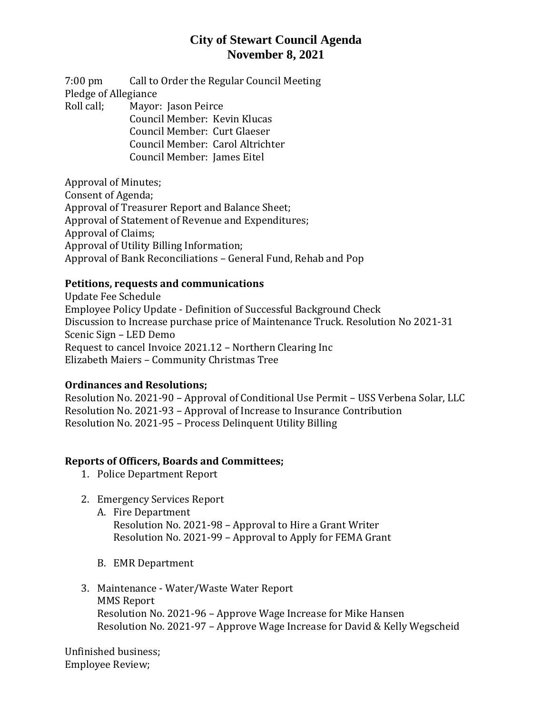# **City of Stewart Council Agenda November 8, 2021**

7:00 pm Call to Order the Regular Council Meeting Pledge of Allegiance Roll call; Mayor: Jason Peirce Council Member: Kevin Klucas

Council Member: Curt Glaeser Council Member: Carol Altrichter Council Member: James Eitel

Approval of Minutes; Consent of Agenda; Approval of Treasurer Report and Balance Sheet; Approval of Statement of Revenue and Expenditures; Approval of Claims; Approval of Utility Billing Information; Approval of Bank Reconciliations – General Fund, Rehab and Pop

#### **Petitions, requests and communications**

Update Fee Schedule Employee Policy Update - Definition of Successful Background Check Discussion to Increase purchase price of Maintenance Truck. Resolution No 2021-31 Scenic Sign – LED Demo Request to cancel Invoice 2021.12 – Northern Clearing Inc Elizabeth Maiers – Community Christmas Tree

### **Ordinances and Resolutions;**

Resolution No. 2021-90 – Approval of Conditional Use Permit – USS Verbena Solar, LLC Resolution No. 2021-93 – Approval of Increase to Insurance Contribution Resolution No. 2021-95 – Process Delinquent Utility Billing

### **Reports of Officers, Boards and Committees;**

- 1. Police Department Report
- 2. Emergency Services Report
	- A. Fire Department Resolution No. 2021-98 – Approval to Hire a Grant Writer Resolution No. 2021-99 – Approval to Apply for FEMA Grant
	- B. EMR Department
- 3. Maintenance Water/Waste Water Report MMS Report Resolution No. 2021-96 – Approve Wage Increase for Mike Hansen Resolution No. 2021-97 – Approve Wage Increase for David & Kelly Wegscheid

Unfinished business; Employee Review;